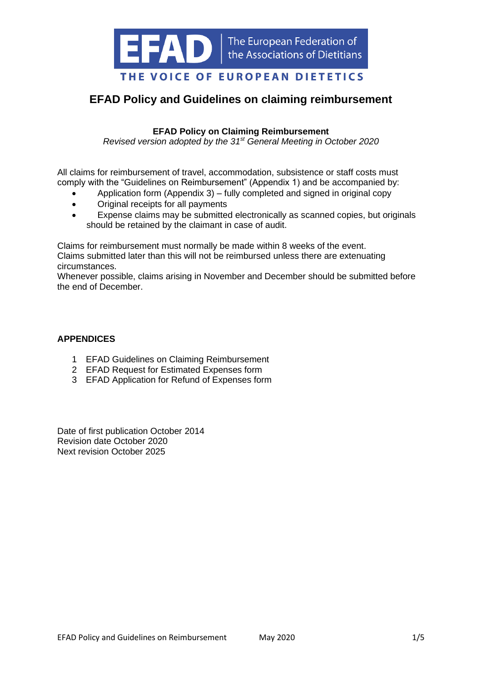

# **EFAD Policy and Guidelines on claiming reimbursement**

## **EFAD Policy on Claiming Reimbursement**

*Revised version adopted by the 31st General Meeting in October 2020*

All claims for reimbursement of travel, accommodation, subsistence or staff costs must comply with the "Guidelines on Reimbursement" (Appendix 1) and be accompanied by:

- Application form (Appendix 3) fully completed and signed in original copy
- Original receipts for all payments
- Expense claims may be submitted electronically as scanned copies, but originals should be retained by the claimant in case of audit.

Claims for reimbursement must normally be made within 8 weeks of the event. Claims submitted later than this will not be reimbursed unless there are extenuating circumstances.

Whenever possible, claims arising in November and December should be submitted before the end of December.

## **APPENDICES**

- 1 EFAD Guidelines on Claiming Reimbursement
- 2 EFAD Request for Estimated Expenses form
- 3 EFAD Application for Refund of Expenses form

Date of first publication October 2014 Revision date October 2020 Next revision October 2025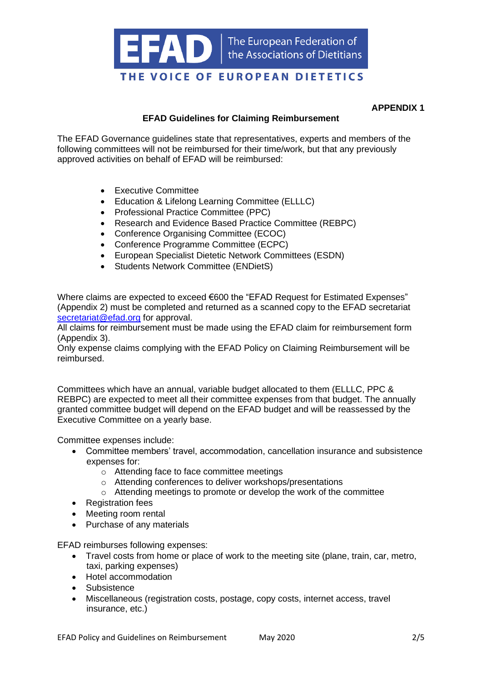

#### **APPENDIX 1**

## **EFAD Guidelines for Claiming Reimbursement**

The EFAD Governance guidelines state that representatives, experts and members of the following committees will not be reimbursed for their time/work, but that any previously approved activities on behalf of EFAD will be reimbursed:

- Executive Committee
- Education & Lifelong Learning Committee (ELLLC)
- Professional Practice Committee (PPC)
- Research and Evidence Based Practice Committee (REBPC)
- Conference Organising Committee (ECOC)
- Conference Programme Committee (ECPC)
- European Specialist Dietetic Network Committees (ESDN)
- Students Network Committee (ENDietS)

Where claims are expected to exceed €600 the "EFAD Request for Estimated Expenses" (Appendix 2) must be completed and returned as a scanned copy to the EFAD secretariat [secretariat@efad.org](mailto:secretariat@efad.org) for approval.

All claims for reimbursement must be made using the EFAD claim for reimbursement form (Appendix 3).

Only expense claims complying with the EFAD Policy on Claiming Reimbursement will be reimbursed.

Committees which have an annual, variable budget allocated to them (ELLLC, PPC & REBPC) are expected to meet all their committee expenses from that budget. The annually granted committee budget will depend on the EFAD budget and will be reassessed by the Executive Committee on a yearly base.

Committee expenses include:

- Committee members' travel, accommodation, cancellation insurance and subsistence expenses for:
	- o Attending face to face committee meetings
	- o Attending conferences to deliver workshops/presentations
	- o Attending meetings to promote or develop the work of the committee
- Registration fees
- Meeting room rental
- Purchase of any materials

EFAD reimburses following expenses:

- Travel costs from home or place of work to the meeting site (plane, train, car, metro, taxi, parking expenses)
- Hotel accommodation
- Subsistence
- Miscellaneous (registration costs, postage, copy costs, internet access, travel insurance, etc.)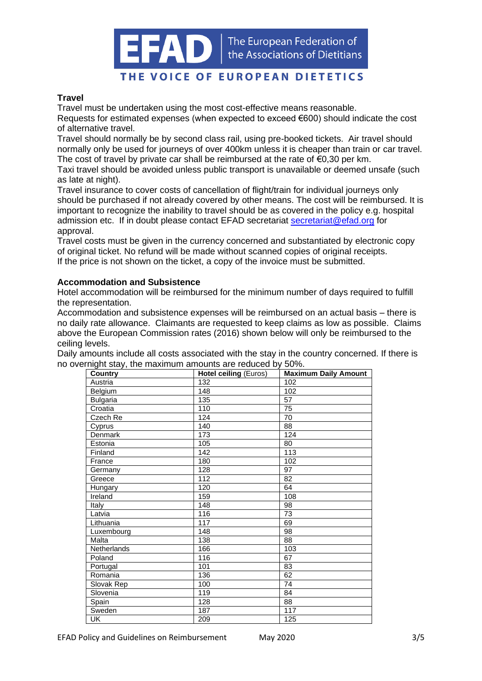The European Federation of the Associations of Dietitians

## THE VOICE OF EUROPEAN DIETETICS

#### **Travel**

Travel must be undertaken using the most cost-effective means reasonable.

Requests for estimated expenses (when expected to exceed  $\epsilon$ 600) should indicate the cost of alternative travel.

Travel should normally be by second class rail, using pre-booked tickets. Air travel should normally only be used for journeys of over 400km unless it is cheaper than train or car travel. The cost of travel by private car shall be reimbursed at the rate of  $\epsilon$ 0,30 per km.

Taxi travel should be avoided unless public transport is unavailable or deemed unsafe (such as late at night).

Travel insurance to cover costs of cancellation of flight/train for individual journeys only should be purchased if not already covered by other means. The cost will be reimbursed. It is important to recognize the inability to travel should be as covered in the policy e.g. hospital admission etc. If in doubt please contact EFAD secretariat [secretariat@efad.org](mailto:secretariat@efad.org) for approval.

Travel costs must be given in the currency concerned and substantiated by electronic copy of original ticket. No refund will be made without scanned copies of original receipts. If the price is not shown on the ticket, a copy of the invoice must be submitted.

#### **Accommodation and Subsistence**

Hotel accommodation will be reimbursed for the minimum number of days required to fulfill the representation.

Accommodation and subsistence expenses will be reimbursed on an actual basis – there is no daily rate allowance. Claimants are requested to keep claims as low as possible. Claims above the European Commission rates (2016) shown below will only be reimbursed to the ceiling levels.

Daily amounts include all costs associated with the stay in the country concerned. If there is no overnight stay, the maximum amounts are reduced by 50%.

| ngin olay, tho maximum uniounto are reduced by<br><b>Country</b> | <b>Hotel ceiling (Euros)</b> | <b>Maximum Daily Amount</b> |
|------------------------------------------------------------------|------------------------------|-----------------------------|
| Austria                                                          | 132                          | 102                         |
| Belgium                                                          | 148                          | 102                         |
| <b>Bulgaria</b>                                                  | 135                          | 57                          |
| Croatia                                                          | 110                          | 75                          |
| Czech Re                                                         | 124                          | 70                          |
| Cyprus                                                           | 140                          | 88                          |
| Denmark                                                          | 173                          | 124                         |
| Estonia                                                          | 105                          | 80                          |
| Finland                                                          | 142                          | 113                         |
| France                                                           | 180                          | 102                         |
| Germany                                                          | 128                          | 97                          |
| Greece                                                           | 112                          | 82                          |
| Hungary                                                          | 120                          | 64                          |
| Ireland                                                          | 159                          | 108                         |
| Italy                                                            | 148                          | 98                          |
| Latvia                                                           | 116                          | $\overline{73}$             |
| Lithuania                                                        | 117                          | 69                          |
| Luxembourg                                                       | 148                          | 98                          |
| Malta                                                            | 138                          | 88                          |
| Netherlands                                                      | 166                          | 103                         |
| Poland                                                           | 116                          | 67                          |
| Portugal                                                         | 101                          | 83                          |
| Romania                                                          | 136                          | 62                          |
| Slovak Rep                                                       | 100                          | 74                          |
| Slovenia                                                         | 119                          | 84                          |
| Spain                                                            | 128                          | 88                          |
| Sweden                                                           | 187                          | 117                         |
| <b>UK</b>                                                        | 209                          | 125                         |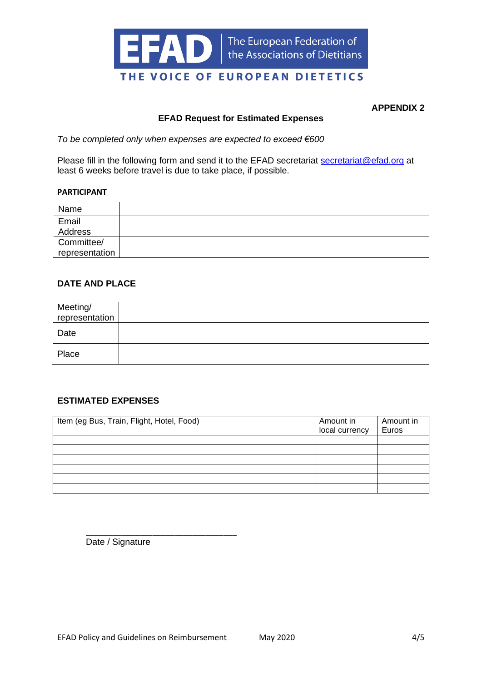

**APPENDIX 2**

#### **EFAD Request for Estimated Expenses**

*To be completed only when expenses are expected to exceed €600*

Please fill in the following form and send it to the EFAD secretariat [secretariat@efad.org](mailto:secretariat@efad.org) at least 6 weeks before travel is due to take place, if possible.

#### **PARTICIPANT**

| Name           |  |
|----------------|--|
| Email          |  |
| Address        |  |
| Committee/     |  |
| representation |  |

#### **DATE AND PLACE**

| Meeting/<br>representation |  |
|----------------------------|--|
| Date                       |  |
| Place                      |  |

## **ESTIMATED EXPENSES**

| Item (eg Bus, Train, Flight, Hotel, Food) | Amount in<br>local currency | Amount in<br>Euros |
|-------------------------------------------|-----------------------------|--------------------|
|                                           |                             |                    |
|                                           |                             |                    |
|                                           |                             |                    |
|                                           |                             |                    |
|                                           |                             |                    |
|                                           |                             |                    |

\_\_\_\_\_\_\_\_\_\_\_\_\_\_\_\_\_\_\_\_\_\_\_\_\_\_\_\_\_\_\_\_\_\_ Date / Signature